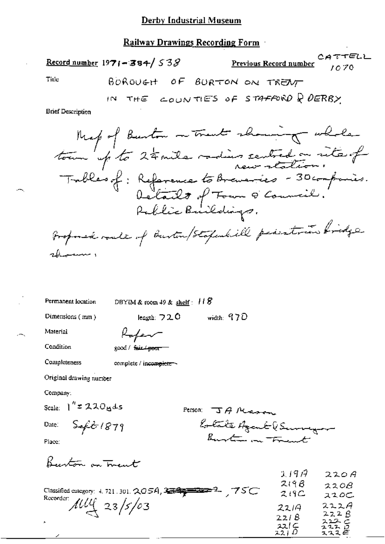#### Railway Drawings Recording Form

CATTELL Record number 1971-384/538 Previous Record number 1070 BOROUGH OF BURTON ON TRENT IN THE COUNTIES OF STAFFORD Q DERBY

**Brief Description** 

Title

Permanent location

DBYIM & room 49 & shelf:  $118$ 

Dimensions (mm)

width:  $97D$ length:  $720$ 

Material

Condition

| good/ <del>fair/poor</del> |
|----------------------------|

بهيديك

Completeness

complete / incomplete ~

Original drawing number

Company:

Scale:  $1'' = 220$  gds

Date:

Person: JA Mason Estate Azant (Surveyor Burton in Trent

i versen.

Place:

Burton on Trust

 $Seft1879$ 

|                                                                         | J. J. 177 | 220 A         |
|-------------------------------------------------------------------------|-----------|---------------|
|                                                                         | 2198      | 220B          |
| 75C<br>Classified category: $4.721.301.$ $2.054$ , $2.334$<br>Recorder: | 219C      | ススのこ          |
| $10\frac{11}{2}$ 23/5/03                                                | 221A      | 222A          |
|                                                                         | 221B      | 222B          |
|                                                                         | 221 C     | スエユー<br>ユユス ロ |
|                                                                         | 221D      | スススモ          |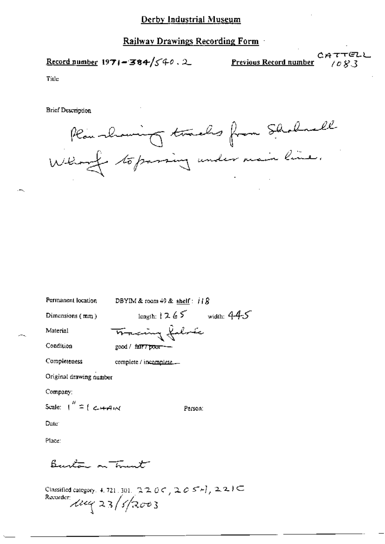#### Railway Drawings Recording Form

Record number  $1971 - 384/\sqrt{40}$ . 2

CATTELL **Previous Record number** 

Title

**Brief Description** 



| Permanent location |
|--------------------|
|--------------------|

DBYIM & room 49 & shelf:  $i18$ 

Dimensions (mm) Material

length:  $1265$  width:  $445$ <del>macing falsie</del>

Condition

Completeness

good / fall?"poorcomplete / incomplete....

Original drawing number

Company:

Scale:  $\int_0^R f(x) dx$ 

Person:

Date:

Place:

Burton on transf

Classified category, 4, 721, 301,  $[2, 2, 0]$   $C$ ,  $[2, 0]$   $C$   $S$   $\rightarrow$ ],  $[2, 2]$   $C$ Recorder  $\mu$ uy 23/5/2003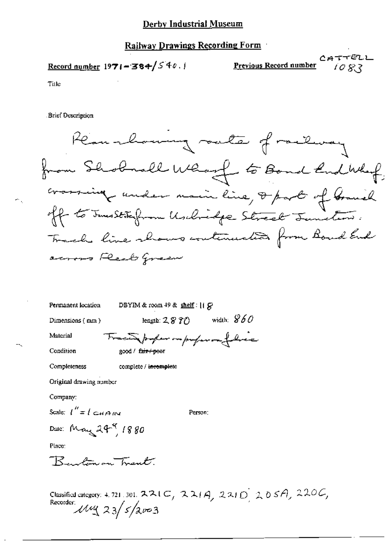#### Railway Drawings Recording Form

CATTELL Record number  $1971 - 384 / 540.1$ Previous Record number 1083

Title

**Brief Description** 

Rean-houring sale of railway from Shobrall Whanf to Bond Rud What crossing under main line, I part of Grand<br>off to Imstitution Uschridge Street Junction. Track line shows continuated from Bond End across Fleet Green

| Permanent location                          | DBYIM & room $49$ & shelf: $11g$ |              |  |  |
|---------------------------------------------|----------------------------------|--------------|--|--|
| Dimensions $\{$ mm $\}$                     | length: $2870$                   | width: $860$ |  |  |
| Material                                    | Trace proper improper metalice   |              |  |  |
| Condition                                   | good / f <del>air / poo</del> r  |              |  |  |
| Completeness                                | complete / incomplete            |              |  |  |
| Original drawing number                     |                                  |              |  |  |
| Company:                                    |                                  |              |  |  |
| Scale: $\int_{-\infty}^{\infty} f(x) \, dx$ | Person:                          |              |  |  |

Place:

Burlow on Trent.

Date: May 24<sup>8</sup>, 1880

Classified category: 4.721.301. 221C, 221A, 221D, 205A, 220C,<br>Recorder:<br> $\frac{1}{2}$   $\frac{1}{2}$   $\frac{1}{2}$   $\frac{1}{2}$   $\frac{1}{2}$   $\frac{1}{2}$   $\frac{1}{2}$   $\frac{1}{2}$   $\frac{1}{2}$   $\frac{1}{2}$   $\frac{1}{2}$   $\frac{1}{2}$   $\frac{1}{2}$   $\frac{1}{2}$   $\frac{1}{2}$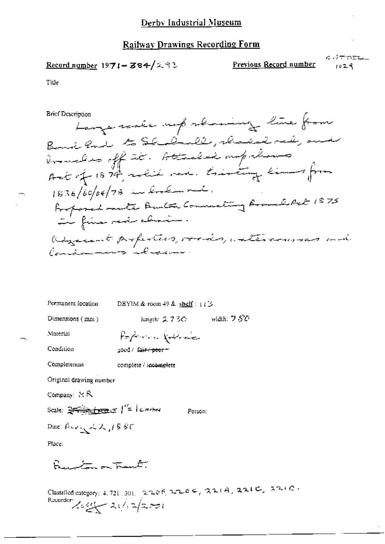## Railway Drawings Recording Form

Record number 1971-384/293

Previous Record number

 $\epsilon$  of  $\tau$  man  $1029$ 

Tide

**Brief Description** 

Large serie up showing line from Band Pord to Shakall, though red, and emmeles off it. Attacked unprhows  $1836/60/64/78$  in broken rad. Bopered auto Builton Commeting Board Ret 1875 the fine rade chain. Rogerant Arferters, modes, antercompas and

Permanent location DBYIM & room 49 & shelf: 113 length:  $2.73C$  width:  $75C$ Dimensions (mm) Material Popen force Condition good / fair-peor-Completeness complete / incomplete Original drawing number Company: NR Scale:  $2\frac{2}{\sqrt{2}}\frac{1}{\sqrt{2}}$   $\frac{1}{\sqrt{2}}$   $\frac{1}{\sqrt{2}}$   $\frac{1}{\sqrt{2}}$   $\frac{1}{\sqrt{2}}$ Person: Date:  $\beta$ ue  $\sqrt{\lambda}/2$ , 1880

Place:

 $B_{\text{tot}}$  on Track,

Classified category: 4.721.301. 2206.2200, 2210, 221A, 221C, 221C. Recorder 10th 21/2/2001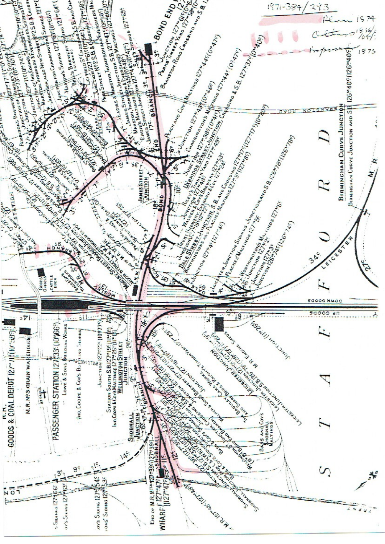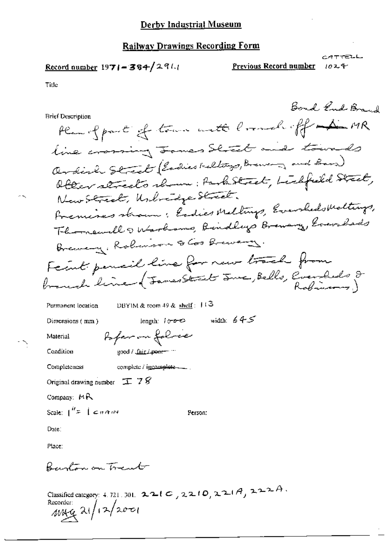### **Railway Drawings Recording Form**

$$
\underline{\text{Record number}} 1971 - 364 / 2911
$$

Previous Record number  $102 +$ 

CATTELL

Bond End Brand

Title

**Brief Description** 

Plan of point of town with love of for the MR line crossing James Stract and towards Ordina Street (Eadies Maltings, Brause, and Sans) Obter streets shown: Park Street, Lichfield Street, New Street, Unbreidge Street. Fremises straum: Endies Meltings, Eversheds Maltings, Thomasurell of Warbarns, Bindleys Browning, Even hads Brewery, Robinson & Coo Brewery. Fecut pencil line for new track from franch hime (James Street June, Bells, Everleds d

Permanent location

DBYIM & room 49 & shelf:  $113$ 

Pofer on foloce

length:  $1000$ 

Dimensions (mm)

width:  $645$ 

Material

Condition good / fair / poor-

complete / incomplete ...... Completeness

Original drawing number  $\pi$  78

Company: MR

Scale:  $1^{n}$  =  $1$  c n A iN

Person:

Date:

Place:

Burton on Trent

Classified category: 4.721.301. 2210, 2210, 221A, 222A.<br>Recorder:<br>Myg 21/12/2001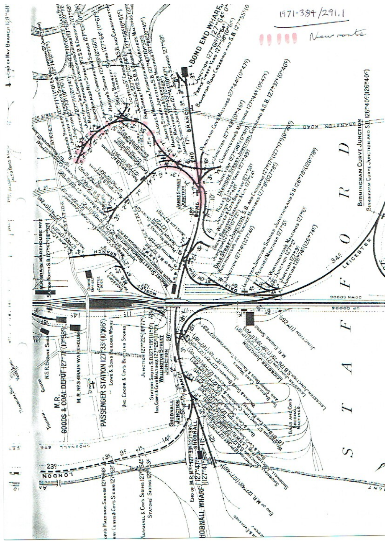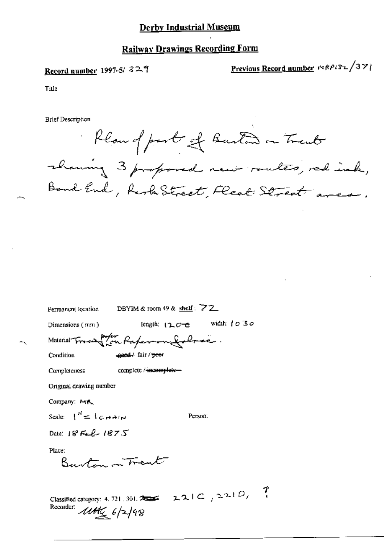# **Railway Drawings Recording Form**

#### Record number 1997-5/329

Previous Record number 14 RPI32/371

Title

**Brief Description** 

Rear of part of Buston on Trent shawing 3 proposed new routes, red ink,

| Permanent location                                                  | DBYIM & room $49$ & shelf: $\overline{Z}$ 2     |  |
|---------------------------------------------------------------------|-------------------------------------------------|--|
| Dimensions $(mn)$                                                   | width: $f \circ \Im \circ$<br>length: $(2,0,0)$ |  |
|                                                                     | Material Traces of Con Rafer on Jabrie.         |  |
| Condition                                                           | eard fair / poor                                |  |
| Completeness                                                        | complete / <del>incomplete =</del>              |  |
| Original drawing number                                             |                                                 |  |
| Company: MR                                                         |                                                 |  |
| Scale: $1'' = 16$ c of AIN                                          | Person:                                         |  |
| Date: $18 \text{ FeL}$ $187.5$                                      |                                                 |  |
| Place:                                                              | Burton on Trent                                 |  |
| Classified category: 4, 721, 301. 2<br>Recorder:<br>$114666$ 6/2/98 | $22C_121D_2$                                    |  |